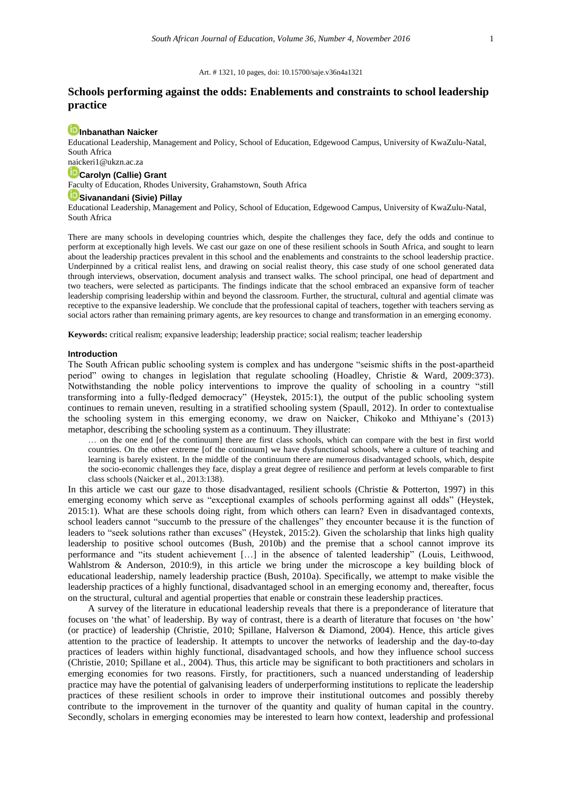#### Art. # 1321, 10 pages, [doi: 10.15700/saje.v36n4a1321](https://doi.org/10.15700/saje.v36n4a1321)

## **Schools performing against the odds: Enablements and constraints to school leadership practice**

## **[Inbanathan Naicker](http://orcid.org/0000-0003-2092-0878)**

Educational Leadership, Management and Policy, School of Education, Edgewood Campus, University of KwaZulu-Natal, South Africa

# naickeri1@ukzn.ac.za

## **[Carolyn \(Callie\) Grant](http://orcid.org/0000-0002-4188-7408)**

Faculty of Education, Rhodes University, Grahamstown, South Africa

## **[Sivanandani](http://orcid.org/0000-0003-2470-7222) (Sivie) Pillay**

Educational Leadership, Management and Policy, School of Education, Edgewood Campus, University of KwaZulu-Natal, South Africa

There are many schools in developing countries which, despite the challenges they face, defy the odds and continue to perform at exceptionally high levels. We cast our gaze on one of these resilient schools in South Africa, and sought to learn about the leadership practices prevalent in this school and the enablements and constraints to the school leadership practice. Underpinned by a critical realist lens, and drawing on social realist theory, this case study of one school generated data through interviews, observation, document analysis and transect walks. The school principal, one head of department and two teachers, were selected as participants. The findings indicate that the school embraced an expansive form of teacher leadership comprising leadership within and beyond the classroom. Further, the structural, cultural and agential climate was receptive to the expansive leadership. We conclude that the professional capital of teachers, together with teachers serving as social actors rather than remaining primary agents, are key resources to change and transformation in an emerging economy.

**Keywords:** critical realism; expansive leadership; leadership practice; social realism; teacher leadership

#### **Introduction**

The South African public schooling system is complex and has undergone "seismic shifts in the post-apartheid period" owing to changes in legislation that regulate schooling (Hoadley, Christie & Ward, 2009:373). Notwithstanding the noble policy interventions to improve the quality of schooling in a country "still transforming into a fully-fledged democracy" (Heystek, 2015:1), the output of the public schooling system continues to remain uneven, resulting in a stratified schooling system (Spaull, 2012). In order to contextualise the schooling system in this emerging economy, we draw on Naicker, Chikoko and Mthiyane's (2013) metaphor, describing the schooling system as a continuum. They illustrate:

… on the one end [of the continuum] there are first class schools, which can compare with the best in first world countries. On the other extreme [of the continuum] we have dysfunctional schools, where a culture of teaching and learning is barely existent. In the middle of the continuum there are numerous disadvantaged schools, which, despite the socio-economic challenges they face, display a great degree of resilience and perform at levels comparable to first class schools (Naicker et al., 2013:138).

In this article we cast our gaze to those disadvantaged, resilient schools (Christie & Potterton, 1997) in this emerging economy which serve as "exceptional examples of schools performing against all odds" (Heystek, 2015:1). What are these schools doing right, from which others can learn? Even in disadvantaged contexts, school leaders cannot "succumb to the pressure of the challenges" they encounter because it is the function of leaders to "seek solutions rather than excuses" (Heystek, 2015:2). Given the scholarship that links high quality leadership to positive school outcomes (Bush, 2010b) and the premise that a school cannot improve its performance and "its student achievement […] in the absence of talented leadership" (Louis, Leithwood, Wahlstrom & Anderson, 2010:9), in this article we bring under the microscope a key building block of educational leadership, namely leadership practice (Bush, 2010a). Specifically, we attempt to make visible the leadership practices of a highly functional, disadvantaged school in an emerging economy and, thereafter, focus on the structural, cultural and agential properties that enable or constrain these leadership practices.

A survey of the literature in educational leadership reveals that there is a preponderance of literature that focuses on 'the what' of leadership. By way of contrast, there is a dearth of literature that focuses on 'the how' (or practice) of leadership (Christie, 2010; Spillane, Halverson & Diamond, 2004). Hence, this article gives attention to the practice of leadership. It attempts to uncover the networks of leadership and the day-to-day practices of leaders within highly functional, disadvantaged schools, and how they influence school success (Christie, 2010; Spillane et al., 2004). Thus, this article may be significant to both practitioners and scholars in emerging economies for two reasons. Firstly, for practitioners, such a nuanced understanding of leadership practice may have the potential of galvanising leaders of underperforming institutions to replicate the leadership practices of these resilient schools in order to improve their institutional outcomes and possibly thereby contribute to the improvement in the turnover of the quantity and quality of human capital in the country. Secondly, scholars in emerging economies may be interested to learn how context, leadership and professional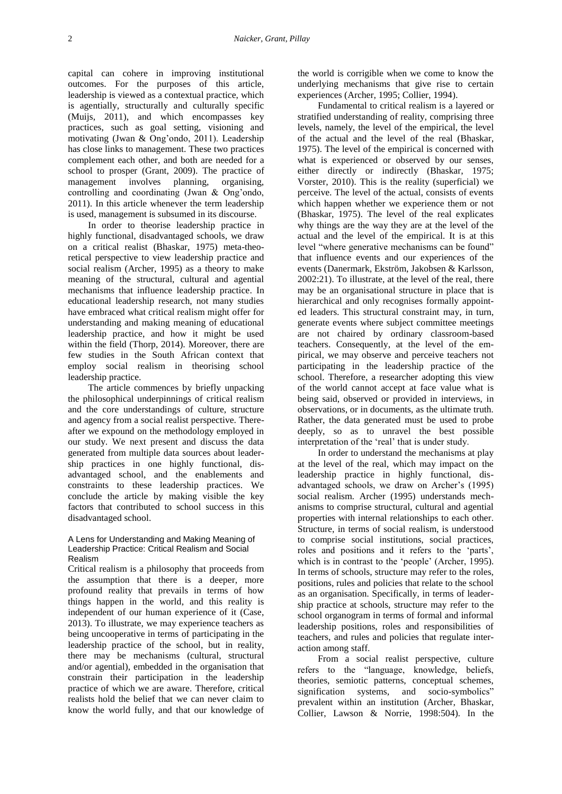capital can cohere in improving institutional outcomes. For the purposes of this article, leadership is viewed as a contextual practice, which is agentially, structurally and culturally specific (Muijs, 2011), and which encompasses key practices, such as goal setting, visioning and motivating (Jwan & Ong'ondo, 2011). Leadership has close links to management. These two practices complement each other, and both are needed for a school to prosper (Grant, 2009). The practice of management involves planning, organising, controlling and coordinating (Jwan & Ong'ondo, 2011). In this article whenever the term leadership is used, management is subsumed in its discourse.

In order to theorise leadership practice in highly functional, disadvantaged schools, we draw on a critical realist (Bhaskar, 1975) meta-theoretical perspective to view leadership practice and social realism (Archer, 1995) as a theory to make meaning of the structural, cultural and agential mechanisms that influence leadership practice. In educational leadership research, not many studies have embraced what critical realism might offer for understanding and making meaning of educational leadership practice, and how it might be used within the field (Thorp, 2014). Moreover, there are few studies in the South African context that employ social realism in theorising school leadership practice.

The article commences by briefly unpacking the philosophical underpinnings of critical realism and the core understandings of culture, structure and agency from a social realist perspective. Thereafter we expound on the methodology employed in our study. We next present and discuss the data generated from multiple data sources about leadership practices in one highly functional, disadvantaged school, and the enablements and constraints to these leadership practices. We conclude the article by making visible the key factors that contributed to school success in this disadvantaged school.

### A Lens for Understanding and Making Meaning of Leadership Practice: Critical Realism and Social Realism

Critical realism is a philosophy that proceeds from the assumption that there is a deeper, more profound reality that prevails in terms of how things happen in the world, and this reality is independent of our human experience of it (Case, 2013). To illustrate, we may experience teachers as being uncooperative in terms of participating in the leadership practice of the school, but in reality, there may be mechanisms (cultural, structural and/or agential), embedded in the organisation that constrain their participation in the leadership practice of which we are aware. Therefore, critical realists hold the belief that we can never claim to know the world fully, and that our knowledge of

the world is corrigible when we come to know the underlying mechanisms that give rise to certain experiences (Archer, 1995; Collier, 1994).

Fundamental to critical realism is a layered or stratified understanding of reality, comprising three levels, namely, the level of the empirical, the level of the actual and the level of the real (Bhaskar, 1975). The level of the empirical is concerned with what is experienced or observed by our senses, either directly or indirectly (Bhaskar, 1975; Vorster, 2010). This is the reality (superficial) we perceive. The level of the actual, consists of events which happen whether we experience them or not (Bhaskar, 1975). The level of the real explicates why things are the way they are at the level of the actual and the level of the empirical. It is at this level "where generative mechanisms can be found" that influence events and our experiences of the events (Danermark, Ekström, Jakobsen & Karlsson, 2002:21). To illustrate, at the level of the real, there may be an organisational structure in place that is hierarchical and only recognises formally appointed leaders. This structural constraint may, in turn, generate events where subject committee meetings are not chaired by ordinary classroom-based teachers. Consequently, at the level of the empirical, we may observe and perceive teachers not participating in the leadership practice of the school. Therefore, a researcher adopting this view of the world cannot accept at face value what is being said, observed or provided in interviews, in observations, or in documents, as the ultimate truth. Rather, the data generated must be used to probe deeply, so as to unravel the best possible interpretation of the 'real' that is under study.

In order to understand the mechanisms at play at the level of the real, which may impact on the leadership practice in highly functional, disadvantaged schools, we draw on Archer's (1995) social realism. Archer (1995) understands mechanisms to comprise structural, cultural and agential properties with internal relationships to each other. Structure, in terms of social realism, is understood to comprise social institutions, social practices, roles and positions and it refers to the 'parts', which is in contrast to the 'people' (Archer, 1995). In terms of schools, structure may refer to the roles, positions, rules and policies that relate to the school as an organisation. Specifically, in terms of leadership practice at schools, structure may refer to the school organogram in terms of formal and informal leadership positions, roles and responsibilities of teachers, and rules and policies that regulate interaction among staff.

From a social realist perspective, culture refers to the "language, knowledge, beliefs, theories, semiotic patterns, conceptual schemes, signification systems, and socio-symbolics" prevalent within an institution (Archer, Bhaskar, Collier, Lawson & Norrie, 1998:504). In the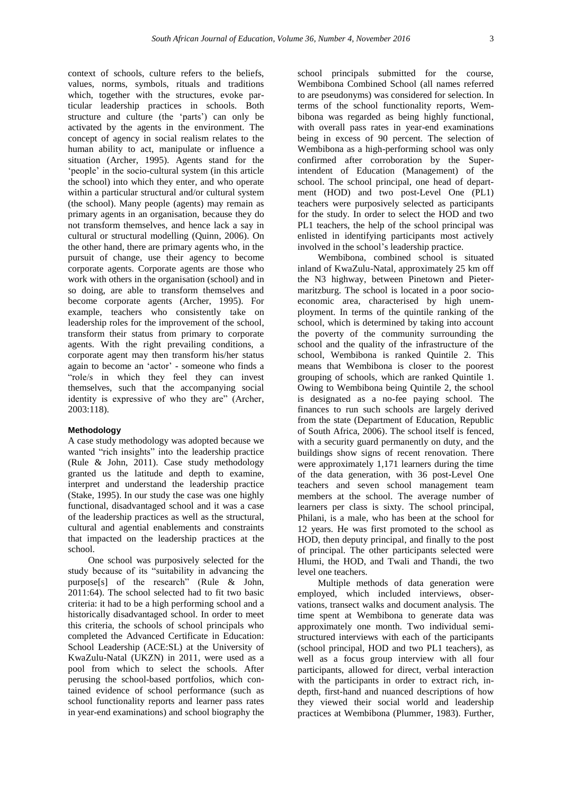context of schools, culture refers to the beliefs, values, norms, symbols, rituals and traditions which, together with the structures, evoke particular leadership practices in schools. Both structure and culture (the 'parts') can only be activated by the agents in the environment. The concept of agency in social realism relates to the human ability to act, manipulate or influence a situation (Archer, 1995). Agents stand for the 'people' in the socio-cultural system (in this article the school) into which they enter, and who operate within a particular structural and/or cultural system (the school). Many people (agents) may remain as primary agents in an organisation, because they do not transform themselves, and hence lack a say in cultural or structural modelling (Quinn, 2006). On the other hand, there are primary agents who, in the pursuit of change, use their agency to become corporate agents. Corporate agents are those who work with others in the organisation (school) and in so doing, are able to transform themselves and become corporate agents (Archer, 1995). For example, teachers who consistently take on leadership roles for the improvement of the school, transform their status from primary to corporate agents. With the right prevailing conditions, a corporate agent may then transform his/her status again to become an 'actor' - someone who finds a "role/s in which they feel they can invest themselves, such that the accompanying social identity is expressive of who they are" (Archer, 2003:118).

## **Methodology**

A case study methodology was adopted because we wanted "rich insights" into the leadership practice (Rule & John, 2011). Case study methodology granted us the latitude and depth to examine, interpret and understand the leadership practice (Stake, 1995). In our study the case was one highly functional, disadvantaged school and it was a case of the leadership practices as well as the structural, cultural and agential enablements and constraints that impacted on the leadership practices at the school.

One school was purposively selected for the study because of its "suitability in advancing the purpose[s] of the research" (Rule & John, 2011:64). The school selected had to fit two basic criteria: it had to be a high performing school and a historically disadvantaged school. In order to meet this criteria, the schools of school principals who completed the Advanced Certificate in Education: School Leadership (ACE:SL) at the University of KwaZulu-Natal (UKZN) in 2011, were used as a pool from which to select the schools. After perusing the school-based portfolios, which contained evidence of school performance (such as school functionality reports and learner pass rates in year-end examinations) and school biography the school principals submitted for the course, Wembibona Combined School (all names referred to are pseudonyms) was considered for selection. In terms of the school functionality reports, Wembibona was regarded as being highly functional, with overall pass rates in year-end examinations being in excess of 90 percent. The selection of Wembibona as a high-performing school was only confirmed after corroboration by the Superintendent of Education (Management) of the school. The school principal, one head of department (HOD) and two post-Level One (PL1) teachers were purposively selected as participants for the study. In order to select the HOD and two PL1 teachers, the help of the school principal was enlisted in identifying participants most actively involved in the school's leadership practice.

Wembibona, combined school is situated inland of KwaZulu-Natal, approximately 25 km off the N3 highway, between Pinetown and Pietermaritzburg. The school is located in a poor socioeconomic area, characterised by high unemployment. In terms of the quintile ranking of the school, which is determined by taking into account the poverty of the community surrounding the school and the quality of the infrastructure of the school, Wembibona is ranked Quintile 2. This means that Wembibona is closer to the poorest grouping of schools, which are ranked Quintile 1. Owing to Wembibona being Quintile 2, the school is designated as a no-fee paying school. The finances to run such schools are largely derived from the state (Department of Education, Republic of South Africa, 2006). The school itself is fenced, with a security guard permanently on duty, and the buildings show signs of recent renovation. There were approximately 1,171 learners during the time of the data generation, with 36 post-Level One teachers and seven school management team members at the school. The average number of learners per class is sixty. The school principal, Philani, is a male, who has been at the school for 12 years. He was first promoted to the school as HOD, then deputy principal, and finally to the post of principal. The other participants selected were Hlumi, the HOD, and Twali and Thandi, the two level one teachers.

Multiple methods of data generation were employed, which included interviews, observations, transect walks and document analysis. The time spent at Wembibona to generate data was approximately one month. Two individual semistructured interviews with each of the participants (school principal, HOD and two PL1 teachers), as well as a focus group interview with all four participants, allowed for direct, verbal interaction with the participants in order to extract rich, indepth, first-hand and nuanced descriptions of how they viewed their social world and leadership practices at Wembibona (Plummer, 1983). Further,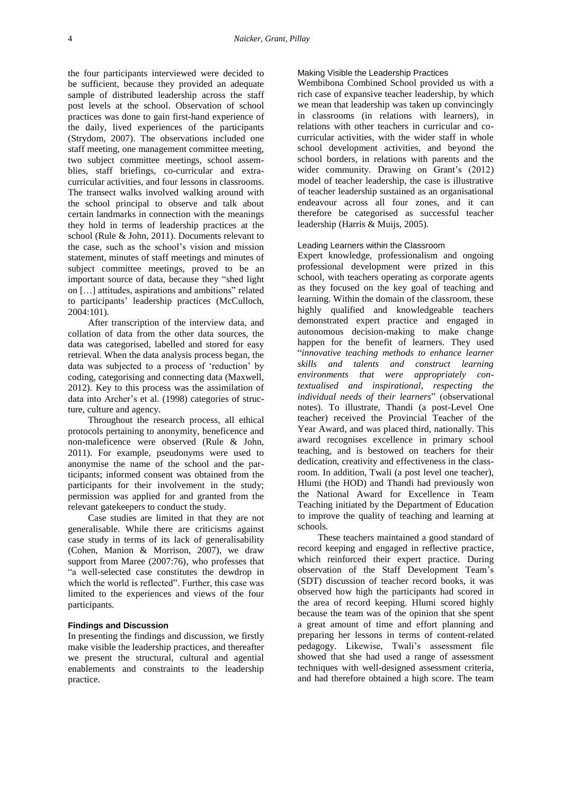the four participants interviewed were decided to be sufficient, because they provided an adequate sample of distributed leadership across the staff post levels at the school. Observation of school practices was done to gain first-hand experience of the daily, lived experiences of the participants (Strydom, 2007). The observations included one staff meeting, one management committee meeting, two subject committee meetings, school assemblies, staff briefings, co-curricular and extracurricular activities, and four lessons in classrooms. The transect walks involved walking around with the school principal to observe and talk about certain landmarks in connection with the meanings they hold in terms of leadership practices at the school (Rule & John, 2011). Documents relevant to the case, such as the school's vision and mission statement, minutes of staff meetings and minutes of subject committee meetings, proved to be an important source of data, because they "shed light on […] attitudes, aspirations and ambitions" related to participants' leadership practices (McCulloch, 2004:101).

After transcription of the interview data, and collation of data from the other data sources, the data was categorised, labelled and stored for easy retrieval. When the data analysis process began, the data was subjected to a process of 'reduction' by coding, categorising and connecting data (Maxwell, 2012). Key to this process was the assimilation of data into Archer's et al. (1998) categories of structure, culture and agency.

Throughout the research process, all ethical protocols pertaining to anonymity, beneficence and non-maleficence were observed (Rule & John, 2011). For example, pseudonyms were used to anonymise the name of the school and the participants; informed consent was obtained from the participants for their involvement in the study; permission was applied for and granted from the relevant gatekeepers to conduct the study.

Case studies are limited in that they are not generalisable. While there are criticisms against case study in terms of its lack of generalisability (Cohen, Manion & Morrison, 2007), we draw support from Maree (2007:76), who professes that "a well-selected case constitutes the dewdrop in which the world is reflected". Further, this case was limited to the experiences and views of the four participants.

## **Findings and Discussion**

In presenting the findings and discussion, we firstly make visible the leadership practices, and thereafter we present the structural, cultural and agential enablements and constraints to the leadership practice.

#### Making Visible the Leadership Practices

Wembibona Combined School provided us with a rich case of expansive teacher leadership, by which we mean that leadership was taken up convincingly in classrooms (in relations with learners), in relations with other teachers in curricular and cocurricular activities, with the wider staff in whole school development activities, and beyond the school borders, in relations with parents and the wider community. Drawing on Grant's (2012) model of teacher leadership, the case is illustrative of teacher leadership sustained as an organisational endeavour across all four zones, and it can therefore be categorised as successful teacher leadership (Harris & Muijs, 2005).

### Leading Learners within the Classroom

Expert knowledge, professionalism and ongoing professional development were prized in this school, with teachers operating as corporate agents as they focused on the key goal of teaching and learning. Within the domain of the classroom, these highly qualified and knowledgeable teachers demonstrated expert practice and engaged in autonomous decision-making to make change happen for the benefit of learners. They used "*innovative teaching methods to enhance learner skills and talents and construct learning environments that were appropriately contextualised and inspirational, respecting the individual needs of their learners*" (observational notes). To illustrate, Thandi (a post-Level One teacher) received the Provincial Teacher of the Year Award, and was placed third, nationally. This award recognises excellence in primary school teaching, and is bestowed on teachers for their dedication, creativity and effectiveness in the classroom. In addition, Twali (a post level one teacher), Hlumi (the HOD) and Thandi had previously won the National Award for Excellence in Team Teaching initiated by the Department of Education to improve the quality of teaching and learning at schools.

These teachers maintained a good standard of record keeping and engaged in reflective practice, which reinforced their expert practice. During observation of the Staff Development Team's (SDT) discussion of teacher record books, it was observed how high the participants had scored in the area of record keeping. Hlumi scored highly because the team was of the opinion that she spent a great amount of time and effort planning and preparing her lessons in terms of content-related pedagogy. Likewise, Twali's assessment file showed that she had used a range of assessment techniques with well-designed assessment criteria, and had therefore obtained a high score. The team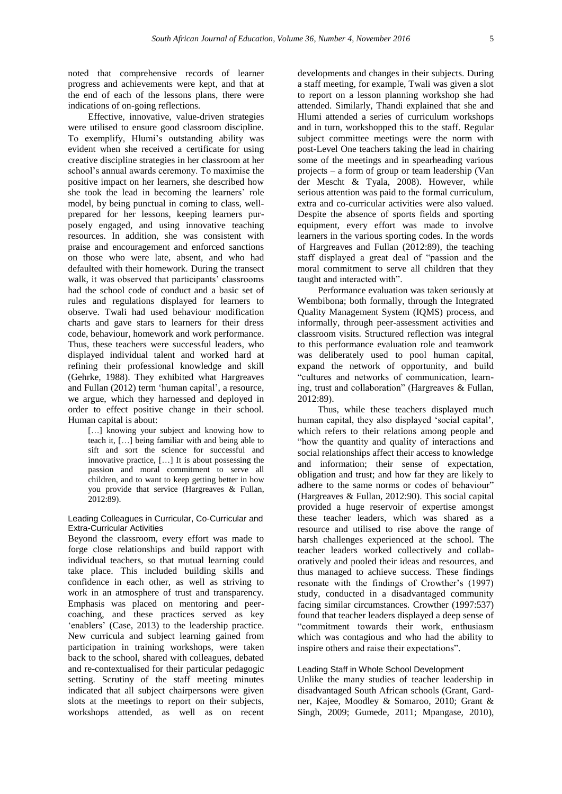noted that comprehensive records of learner progress and achievements were kept, and that at the end of each of the lessons plans, there were indications of on-going reflections.

Effective, innovative, value-driven strategies were utilised to ensure good classroom discipline. To exemplify, Hlumi's outstanding ability was evident when she received a certificate for using creative discipline strategies in her classroom at her school's annual awards ceremony. To maximise the positive impact on her learners, she described how she took the lead in becoming the learners' role model, by being punctual in coming to class, wellprepared for her lessons, keeping learners purposely engaged, and using innovative teaching resources. In addition, she was consistent with praise and encouragement and enforced sanctions on those who were late, absent, and who had defaulted with their homework. During the transect walk, it was observed that participants' classrooms had the school code of conduct and a basic set of rules and regulations displayed for learners to observe. Twali had used behaviour modification charts and gave stars to learners for their dress code, behaviour, homework and work performance. Thus, these teachers were successful leaders, who displayed individual talent and worked hard at refining their professional knowledge and skill (Gehrke, 1988). They exhibited what Hargreaves and Fullan (2012) term 'human capital', a resource, we argue, which they harnessed and deployed in order to effect positive change in their school. Human capital is about:

[...] knowing your subject and knowing how to teach it, […] being familiar with and being able to sift and sort the science for successful and innovative practice, […] It is about possessing the passion and moral commitment to serve all children, and to want to keep getting better in how you provide that service (Hargreaves & Fullan, 2012:89).

### Leading Colleagues in Curricular, Co-Curricular and Extra-Curricular Activities

Beyond the classroom, every effort was made to forge close relationships and build rapport with individual teachers, so that mutual learning could take place. This included building skills and confidence in each other, as well as striving to work in an atmosphere of trust and transparency. Emphasis was placed on mentoring and peercoaching, and these practices served as key 'enablers' (Case, 2013) to the leadership practice. New curricula and subject learning gained from participation in training workshops, were taken back to the school, shared with colleagues, debated and re-contextualised for their particular pedagogic setting. Scrutiny of the staff meeting minutes indicated that all subject chairpersons were given slots at the meetings to report on their subjects, workshops attended, as well as on recent

developments and changes in their subjects. During a staff meeting, for example, Twali was given a slot to report on a lesson planning workshop she had attended. Similarly, Thandi explained that she and Hlumi attended a series of curriculum workshops and in turn, workshopped this to the staff. Regular subject committee meetings were the norm with post-Level One teachers taking the lead in chairing some of the meetings and in spearheading various projects – a form of group or team leadership (Van der Mescht & Tyala, 2008). However, while serious attention was paid to the formal curriculum, extra and co-curricular activities were also valued. Despite the absence of sports fields and sporting equipment, every effort was made to involve learners in the various sporting codes. In the words of Hargreaves and Fullan (2012:89), the teaching staff displayed a great deal of "passion and the moral commitment to serve all children that they taught and interacted with".

Performance evaluation was taken seriously at Wembibona; both formally, through the Integrated Quality Management System (IQMS) process, and informally, through peer-assessment activities and classroom visits. Structured reflection was integral to this performance evaluation role and teamwork was deliberately used to pool human capital, expand the network of opportunity, and build "cultures and networks of communication, learning, trust and collaboration" (Hargreaves & Fullan, 2012:89).

Thus, while these teachers displayed much human capital, they also displayed 'social capital', which refers to their relations among people and "how the quantity and quality of interactions and social relationships affect their access to knowledge and information; their sense of expectation, obligation and trust; and how far they are likely to adhere to the same norms or codes of behaviour" (Hargreaves & Fullan, 2012:90). This social capital provided a huge reservoir of expertise amongst these teacher leaders, which was shared as a resource and utilised to rise above the range of harsh challenges experienced at the school. The teacher leaders worked collectively and collaboratively and pooled their ideas and resources, and thus managed to achieve success. These findings resonate with the findings of Crowther's (1997) study, conducted in a disadvantaged community facing similar circumstances. Crowther (1997:537) found that teacher leaders displayed a deep sense of "commitment towards their work, enthusiasm which was contagious and who had the ability to inspire others and raise their expectations".

### Leading Staff in Whole School Development

Unlike the many studies of teacher leadership in disadvantaged South African schools (Grant, Gardner, Kajee, Moodley & Somaroo, 2010; Grant & Singh, 2009; Gumede, 2011; Mpangase, 2010),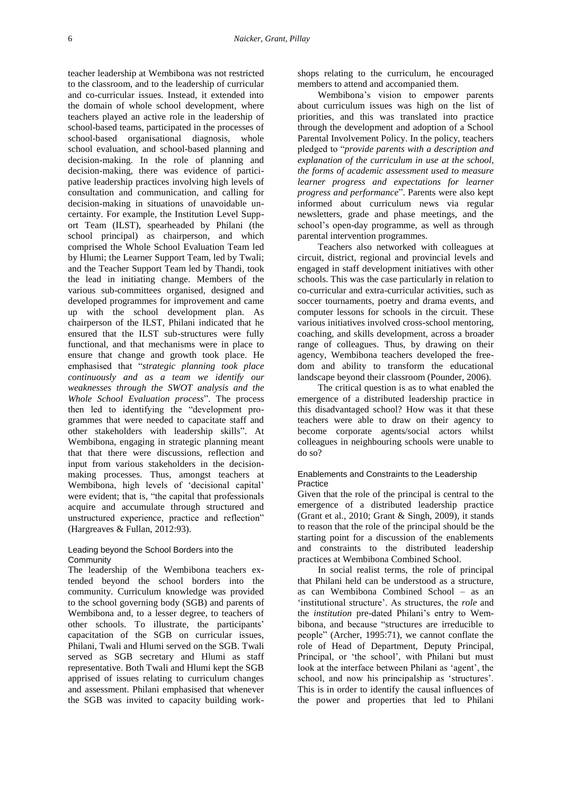teacher leadership at Wembibona was not restricted to the classroom, and to the leadership of curricular and co-curricular issues. Instead, it extended into the domain of whole school development, where teachers played an active role in the leadership of school-based teams, participated in the processes of school-based organisational diagnosis, whole school evaluation, and school-based planning and decision-making. In the role of planning and decision-making, there was evidence of participative leadership practices involving high levels of consultation and communication, and calling for decision-making in situations of unavoidable uncertainty. For example, the Institution Level Support Team (ILST), spearheaded by Philani (the school principal) as chairperson, and which comprised the Whole School Evaluation Team led by Hlumi; the Learner Support Team, led by Twali; and the Teacher Support Team led by Thandi, took the lead in initiating change. Members of the various sub-committees organised, designed and developed programmes for improvement and came up with the school development plan. As chairperson of the ILST, Philani indicated that he ensured that the ILST sub-structures were fully functional, and that mechanisms were in place to ensure that change and growth took place. He emphasised that "*strategic planning took place continuously and as a team we identify our weaknesses through the SWOT analysis and the Whole School Evaluation process*". The process then led to identifying the "development programmes that were needed to capacitate staff and other stakeholders with leadership skills". At Wembibona, engaging in strategic planning meant that that there were discussions, reflection and input from various stakeholders in the decisionmaking processes. Thus, amongst teachers at Wembibona, high levels of 'decisional capital' were evident; that is, "the capital that professionals acquire and accumulate through structured and unstructured experience, practice and reflection" (Hargreaves & Fullan, 2012:93).

### Leading beyond the School Borders into the **Community**

The leadership of the Wembibona teachers extended beyond the school borders into the community. Curriculum knowledge was provided to the school governing body (SGB) and parents of Wembibona and, to a lesser degree, to teachers of other schools. To illustrate, the participants' capacitation of the SGB on curricular issues, Philani, Twali and Hlumi served on the SGB. Twali served as SGB secretary and Hlumi as staff representative. Both Twali and Hlumi kept the SGB apprised of issues relating to curriculum changes and assessment. Philani emphasised that whenever the SGB was invited to capacity building workshops relating to the curriculum, he encouraged members to attend and accompanied them.

Wembibona's vision to empower parents about curriculum issues was high on the list of priorities, and this was translated into practice through the development and adoption of a School Parental Involvement Policy. In the policy, teachers pledged to "*provide parents with a description and explanation of the curriculum in use at the school, the forms of academic assessment used to measure learner progress and expectations for learner progress and performance*". Parents were also kept informed about curriculum news via regular newsletters, grade and phase meetings, and the school's open-day programme, as well as through parental intervention programmes.

Teachers also networked with colleagues at circuit, district, regional and provincial levels and engaged in staff development initiatives with other schools. This was the case particularly in relation to co-curricular and extra-curricular activities, such as soccer tournaments, poetry and drama events, and computer lessons for schools in the circuit. These various initiatives involved cross-school mentoring, coaching, and skills development, across a broader range of colleagues. Thus, by drawing on their agency, Wembibona teachers developed the freedom and ability to transform the educational landscape beyond their classroom (Pounder, 2006).

The critical question is as to what enabled the emergence of a distributed leadership practice in this disadvantaged school? How was it that these teachers were able to draw on their agency to become corporate agents/social actors whilst colleagues in neighbouring schools were unable to do so?

### Enablements and Constraints to the Leadership **Practice**

Given that the role of the principal is central to the emergence of a distributed leadership practice (Grant et al., 2010; Grant & Singh, 2009), it stands to reason that the role of the principal should be the starting point for a discussion of the enablements and constraints to the distributed leadership practices at Wembibona Combined School.

In social realist terms, the role of principal that Philani held can be understood as a structure, as can Wembibona Combined School – as an 'institutional structure'. As structures, the *role* and the *institution* pre-dated Philani's entry to Wembibona, and because "structures are irreducible to people" (Archer, 1995:71), we cannot conflate the role of Head of Department, Deputy Principal, Principal, or 'the school', with Philani but must look at the interface between Philani as 'agent', the school, and now his principalship as 'structures'. This is in order to identify the causal influences of the power and properties that led to Philani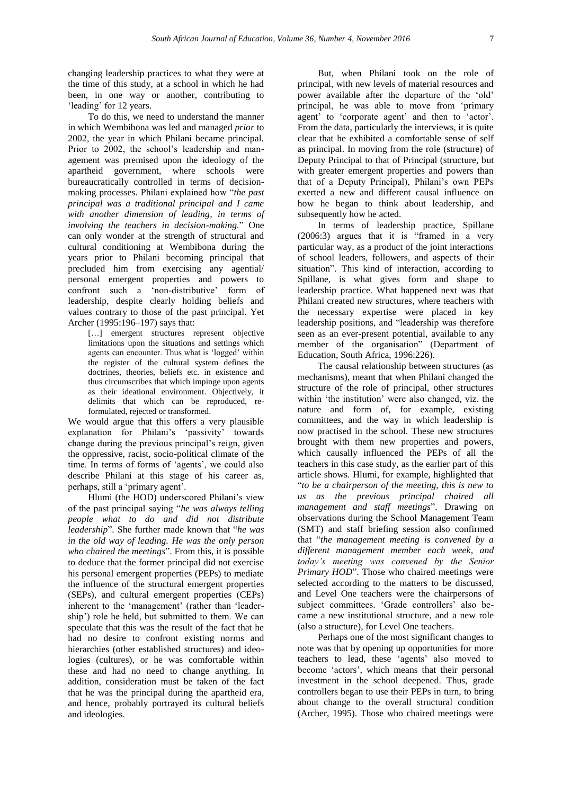changing leadership practices to what they were at the time of this study, at a school in which he had been, in one way or another, contributing to 'leading' for 12 years.

To do this, we need to understand the manner in which Wembibona was led and managed *prior* to 2002, the year in which Philani became principal. Prior to 2002, the school's leadership and management was premised upon the ideology of the apartheid government, where schools were bureaucratically controlled in terms of decisionmaking processes. Philani explained how "*the past principal was a traditional principal and I came with another dimension of leading, in terms of involving the teachers in decision-making.*" One can only wonder at the strength of structural and cultural conditioning at Wembibona during the years prior to Philani becoming principal that precluded him from exercising any agential/ personal emergent properties and powers to confront such a 'non-distributive' form of leadership, despite clearly holding beliefs and values contrary to those of the past principal. Yet Archer (1995:196–197) says that:

[...] emergent structures represent objective limitations upon the situations and settings which agents can encounter. Thus what is 'logged' within the register of the cultural system defines the doctrines, theories, beliefs etc. in existence and thus circumscribes that which impinge upon agents as their ideational environment. Objectively, it delimits that which can be reproduced, reformulated, rejected or transformed.

We would argue that this offers a very plausible explanation for Philani's 'passivity' towards change during the previous principal's reign, given the oppressive, racist, socio-political climate of the time. In terms of forms of 'agents', we could also describe Philani at this stage of his career as, perhaps, still a 'primary agent'.

Hlumi (the HOD) underscored Philani's view of the past principal saying "*he was always telling people what to do and did not distribute leadership*". She further made known that "*he was in the old way of leading. He was the only person who chaired the meetings*". From this, it is possible to deduce that the former principal did not exercise his personal emergent properties (PEPs) to mediate the influence of the structural emergent properties (SEPs), and cultural emergent properties (CEPs) inherent to the 'management' (rather than 'leadership') role he held, but submitted to them. We can speculate that this was the result of the fact that he had no desire to confront existing norms and hierarchies (other established structures) and ideologies (cultures), or he was comfortable within these and had no need to change anything. In addition, consideration must be taken of the fact that he was the principal during the apartheid era, and hence, probably portrayed its cultural beliefs and ideologies.

But, when Philani took on the role of principal, with new levels of material resources and power available after the departure of the 'old' principal, he was able to move from 'primary agent' to 'corporate agent' and then to 'actor'. From the data, particularly the interviews, it is quite clear that he exhibited a comfortable sense of self as principal. In moving from the role (structure) of Deputy Principal to that of Principal (structure, but with greater emergent properties and powers than that of a Deputy Principal), Philani's own PEPs exerted a new and different causal influence on how he began to think about leadership, and subsequently how he acted.

In terms of leadership practice, Spillane (2006:3) argues that it is "framed in a very particular way, as a product of the joint interactions of school leaders, followers, and aspects of their situation". This kind of interaction, according to Spillane, is what gives form and shape to leadership practice. What happened next was that Philani created new structures, where teachers with the necessary expertise were placed in key leadership positions, and "leadership was therefore seen as an ever-present potential, available to any member of the organisation" (Department of Education, South Africa, 1996:226).

The causal relationship between structures (as mechanisms), meant that when Philani changed the structure of the role of principal, other structures within 'the institution' were also changed, viz. the nature and form of, for example, existing committees, and the way in which leadership is now practised in the school. These new structures brought with them new properties and powers, which causally influenced the PEPs of all the teachers in this case study, as the earlier part of this article shows. Hlumi, for example, highlighted that "*to be a chairperson of the meeting, this is new to us as the previous principal chaired all management and staff meetings*". Drawing on observations during the School Management Team (SMT) and staff briefing session also confirmed that "*the management meeting is convened by a different management member each week, and today's meeting was convened by the Senior Primary HOD*". Those who chaired meetings were selected according to the matters to be discussed, and Level One teachers were the chairpersons of subject committees. 'Grade controllers' also became a new institutional structure, and a new role (also a structure), for Level One teachers.

Perhaps one of the most significant changes to note was that by opening up opportunities for more teachers to lead, these 'agents' also moved to become 'actors', which means that their personal investment in the school deepened. Thus, grade controllers began to use their PEPs in turn, to bring about change to the overall structural condition (Archer, 1995). Those who chaired meetings were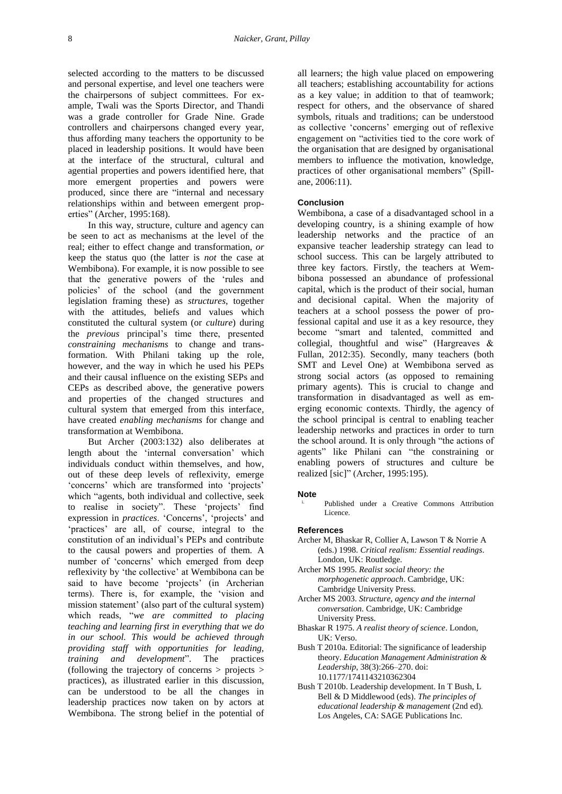selected according to the matters to be discussed and personal expertise, and level one teachers were the chairpersons of subject committees. For example, Twali was the Sports Director, and Thandi was a grade controller for Grade Nine. Grade controllers and chairpersons changed every year, thus affording many teachers the opportunity to be placed in leadership positions. It would have been at the interface of the structural, cultural and agential properties and powers identified here, that more emergent properties and powers were produced, since there are "internal and necessary relationships within and between emergent properties" (Archer, 1995:168).

In this way, structure, culture and agency can be seen to act as mechanisms at the level of the real; either to effect change and transformation, *or*  keep the status quo (the latter is *not* the case at Wembibona). For example, it is now possible to see that the generative powers of the 'rules and policies' of the school (and the government legislation framing these) as *structures*, together with the attitudes, beliefs and values which constituted the cultural system (or *culture*) during the *previous* principal's time there, presented *constraining mechanisms* to change and transformation. With Philani taking up the role, however, and the way in which he used his PEPs and their causal influence on the existing SEPs and CEPs as described above, the generative powers and properties of the changed structures and cultural system that emerged from this interface, have created *enabling mechanisms* for change and transformation at Wembibona.

But Archer (2003:132) also deliberates at length about the 'internal conversation' which individuals conduct within themselves, and how, out of these deep levels of reflexivity, emerge 'concerns' which are transformed into 'projects' which "agents, both individual and collective, seek to realise in society". These 'projects' find expression in *practices*. 'Concerns', 'projects' and 'practices' are all, of course, integral to the constitution of an individual's PEPs and contribute to the causal powers and properties of them. A number of 'concerns' which emerged from deep reflexivity by 'the collective' at Wembibona can be said to have become 'projects' (in Archerian terms). There is, for example, the 'vision and mission statement' (also part of the cultural system) which reads, "we are committed to placing *teaching and learning first in everything that we do in our school. This would be achieved through providing staff with opportunities for leading, training and development*". The practices (following the trajectory of concerns > projects > practices), as illustrated earlier in this discussion, can be understood to be all the changes in leadership practices now taken on by actors at Wembibona. The strong belief in the potential of

all learners; the high value placed on empowering all teachers; establishing accountability for actions as a key value; in addition to that of teamwork; respect for others, and the observance of shared symbols, rituals and traditions; can be understood as collective 'concerns' emerging out of reflexive engagement on "activities tied to the core work of the organisation that are designed by organisational members to influence the motivation, knowledge, practices of other organisational members" (Spillane, 2006:11).

## **Conclusion**

Wembibona, a case of a disadvantaged school in a developing country, is a shining example of how leadership networks and the practice of an expansive teacher leadership strategy can lead to school success. This can be largely attributed to three key factors. Firstly, the teachers at Wembibona possessed an abundance of professional capital, which is the product of their social, human and decisional capital. When the majority of teachers at a school possess the power of professional capital and use it as a key resource, they become "smart and talented, committed and collegial, thoughtful and wise" (Hargreaves & Fullan, 2012:35). Secondly, many teachers (both SMT and Level One) at Wembibona served as strong social actors (as opposed to remaining primary agents). This is crucial to change and transformation in disadvantaged as well as emerging economic contexts. Thirdly, the agency of the school principal is central to enabling teacher leadership networks and practices in order to turn the school around. It is only through "the actions of agents" like Philani can "the constraining or enabling powers of structures and culture be realized [sic]" (Archer, 1995:195).

#### **Note**

Published under a Creative Commons Attribution Licence.

#### **References**

- Archer M, Bhaskar R, Collier A, Lawson T & Norrie A (eds.) 1998. *Critical realism: Essential readings*. London, UK: Routledge.
- Archer MS 1995. *Realist social theory: the morphogenetic approach*. Cambridge, UK: Cambridge University Press.
- Archer MS 2003. *Structure, agency and the internal conversation*. Cambridge, UK: Cambridge University Press.
- Bhaskar R 1975. *A realist theory of science*. London, UK: Verso.
- Bush T 2010a. Editorial: The significance of leadership theory. *Education Management Administration & Leadership*, 38(3):266–270. [doi:](https://doi.org/10.1177/1741143210362304)  [10.1177/1741143210362304](https://doi.org/10.1177/1741143210362304)
- Bush T 2010b. Leadership development. In T Bush, L Bell & D Middlewood (eds). *The principles of educational leadership & management* (2nd ed). Los Angeles, CA: SAGE Publications Inc.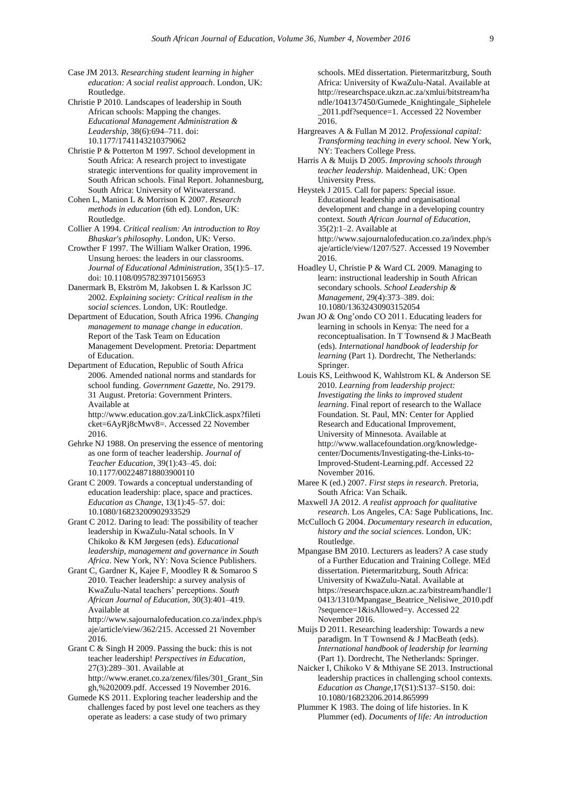Case JM 2013. *Researching student learning in higher education: A social realist approach*. London, UK: Routledge.

Christie P 2010. Landscapes of leadership in South African schools: Mapping the changes. *Educational Management Administration & Leadership*, 38(6):694–711. [doi:](https://doi.org/10.1177/1741143210379062)  [10.1177/1741143210379062](https://doi.org/10.1177/1741143210379062)

Christie P & Potterton M 1997. School development in South Africa: A research project to investigate strategic interventions for quality improvement in South African schools. Final Report. Johannesburg, South Africa: University of Witwatersrand.

Cohen L, Manion L & Morrison K 2007. *Research methods in education* (6th ed). London, UK: Routledge.

Collier A 1994. *Critical realism: An introduction to Roy Bhaskar's philosophy*. London, UK: Verso.

Crowther F 1997. The William Walker Oration, 1996. Unsung heroes: the leaders in our classrooms. *Journal of Educational Administration*, 35(1):5–17. [doi: 10.1108/09578239710156953](https://doi.org/10.1108/09578239710156953)

Danermark B, Ekström M, Jakobsen L & Karlsson JC 2002. *Explaining society: Critical realism in the social sciences*. London, UK: Routledge.

Department of Education, South Africa 1996. *Changing management to manage change in education*. Report of the Task Team on Education Management Development. Pretoria: Department of Education.

Department of Education, Republic of South Africa 2006. Amended national norms and standards for school funding. *Government Gazette*, No. 29179. 31 August. Pretoria: Government Printers. Available at [http://www.education.gov.za/LinkClick.aspx?fileti](http://www.education.gov.za/LinkClick.aspx?fileticket=6AyRj8cMwv8)

[cket=6AyRj8cMwv8=](http://www.education.gov.za/LinkClick.aspx?fileticket=6AyRj8cMwv8). Accessed 22 November 2016.

Gehrke NJ 1988. On preserving the essence of mentoring as one form of teacher leadership. *Journal of Teacher Education*, 39(1):43–45. [doi:](https://doi.org/10.1177/002248718803900110)  [10.1177/002248718803900110](https://doi.org/10.1177/002248718803900110)

Grant C 2009. Towards a conceptual understanding of education leadership: place, space and practices. *Education as Change*, 13(1):45–57. [doi:](https://doi.org/10.1080/16823200902933529)  [10.1080/16823200902933529](https://doi.org/10.1080/16823200902933529)

Grant C 2012. Daring to lead: The possibility of teacher leadership in KwaZulu-Natal schools. In V Chikoko & KM Jørgesen (eds). *Educational leadership, management and governance in South Africa*. New York, NY: Nova Science Publishers.

Grant C, Gardner K, Kajee F, Moodley R & Somaroo S 2010. Teacher leadership: a survey analysis of KwaZulu-Natal teachers' perceptions. *South African Journal of Education*, 30(3):401–419. Available at [http://www.sajournalofeducation.co.za/index.php/s](http://www.sajournalofeducation.co.za/index.php/saje/article/view/362/215)

[aje/article/view/362/215.](http://www.sajournalofeducation.co.za/index.php/saje/article/view/362/215) Accessed 21 November 2016.

Grant C & Singh H 2009. Passing the buck: this is not teacher leadership! *Perspectives in Education*, 27(3):289–301. Available at

[http://www.eranet.co.za/zenex/files/301\\_Grant\\_Sin](http://www.eranet.co.za/zenex/files/301_Grant_Singh,%202009.pdf) [gh,%202009.pdf.](http://www.eranet.co.za/zenex/files/301_Grant_Singh,%202009.pdf) Accessed 19 November 2016.

Gumede KS 2011. Exploring teacher leadership and the challenges faced by post level one teachers as they operate as leaders: a case study of two primary

schools. MEd dissertation. Pietermaritzburg, South Africa: University of KwaZulu-Natal. Available at [http://researchspace.ukzn.ac.za/xmlui/bitstream/ha](http://researchspace.ukzn.ac.za/xmlui/bitstream/handle/10413/7450/Gumede_Knightingale_Siphelele_2011.pdf?sequence=1) [ndle/10413/7450/Gumede\\_Knightingale\\_Siphelele](http://researchspace.ukzn.ac.za/xmlui/bitstream/handle/10413/7450/Gumede_Knightingale_Siphelele_2011.pdf?sequence=1) [\\_2011.pdf?sequence=1.](http://researchspace.ukzn.ac.za/xmlui/bitstream/handle/10413/7450/Gumede_Knightingale_Siphelele_2011.pdf?sequence=1) Accessed 22 November 2016.

Hargreaves A & Fullan M 2012. *Professional capital: Transforming teaching in every school*. New York, NY: Teachers College Press.

Harris A & Muijs D 2005. *Improving schools through teacher leadership*. Maidenhead, UK: Open University Press.

Heystek J 2015. Call for papers: Special issue. Educational leadership and organisational development and change in a developing country context. *South African Journal of Education*, 35(2):1–2. Available at [http://www.sajournalofeducation.co.za/index.php/s](http://www.sajournalofeducation.co.za/index.php/saje/article/view/1207/527) [aje/article/view/1207/527.](http://www.sajournalofeducation.co.za/index.php/saje/article/view/1207/527) Accessed 19 November 2016.

Hoadley U, Christie P & Ward CL 2009. Managing to learn: instructional leadership in South African secondary schools. *School Leadership & Management*, 29(4):373–389. [doi:](https://doi.org/10.1080/13632430903152054)  [10.1080/13632430903152054](https://doi.org/10.1080/13632430903152054)

Jwan JO & Ong'ondo CO 2011. Educating leaders for learning in schools in Kenya: The need for a reconceptualisation. In T Townsend & J MacBeath (eds). *International handbook of leadership for learning* (Part 1). Dordrecht, The Netherlands: Springer.

Louis KS, Leithwood K, Wahlstrom KL & Anderson SE 2010. *Learning from leadership project: Investigating the links to improved student learning*. Final report of research to the Wallace Foundation. St. Paul, MN: Center for Applied Research and Educational Improvement, University of Minnesota. Available at [http://www.wallacefoundation.org/knowledge](http://www.wallacefoundation.org/knowledge-center/Documents/Investigating-the-Links-to-Improved-Student-Learning.pdf)[center/Documents/Investigating-the-Links-to-](http://www.wallacefoundation.org/knowledge-center/Documents/Investigating-the-Links-to-Improved-Student-Learning.pdf)[Improved-Student-Learning.pdf.](http://www.wallacefoundation.org/knowledge-center/Documents/Investigating-the-Links-to-Improved-Student-Learning.pdf) Accessed 22 November 2016.

Maree K (ed.) 2007. *First steps in research*. Pretoria, South Africa: Van Schaik.

Maxwell JA 2012. *A realist approach for qualitative research*. Los Angeles, CA: Sage Publications, Inc.

McCulloch G 2004. *Documentary research in education, history and the social sciences*. London, UK: Routledge.

Mpangase BM 2010. Lecturers as leaders? A case study of a Further Education and Training College. MEd dissertation. Pietermaritzburg, South Africa: University of KwaZulu-Natal. Available at [https://researchspace.ukzn.ac.za/bitstream/handle/1](https://researchspace.ukzn.ac.za/bitstream/handle/10413/1310/Mpangase_Beatrice_Nelisiwe_2010.pdf?sequence=1&isAllowed=y) [0413/1310/Mpangase\\_Beatrice\\_Nelisiwe\\_2010.pdf](https://researchspace.ukzn.ac.za/bitstream/handle/10413/1310/Mpangase_Beatrice_Nelisiwe_2010.pdf?sequence=1&isAllowed=y) [?sequence=1&isAllowed=y.](https://researchspace.ukzn.ac.za/bitstream/handle/10413/1310/Mpangase_Beatrice_Nelisiwe_2010.pdf?sequence=1&isAllowed=y) Accessed 22 November 2016.

Muijs D 2011. Researching leadership: Towards a new paradigm. In T Townsend & J MacBeath (eds). *International handbook of leadership for learning* (Part 1). Dordrecht, The Netherlands: Springer.

Naicker I, Chikoko V & Mthiyane SE 2013. Instructional leadership practices in challenging school contexts. *Education as Change*,17(S1):S137–S150[. doi:](https://doi.org/10.1080/16823206.2014.865999)  [10.1080/16823206.2014.865999](https://doi.org/10.1080/16823206.2014.865999)

Plummer K 1983. The doing of life histories. In K Plummer (ed). *Documents of life: An introduction*